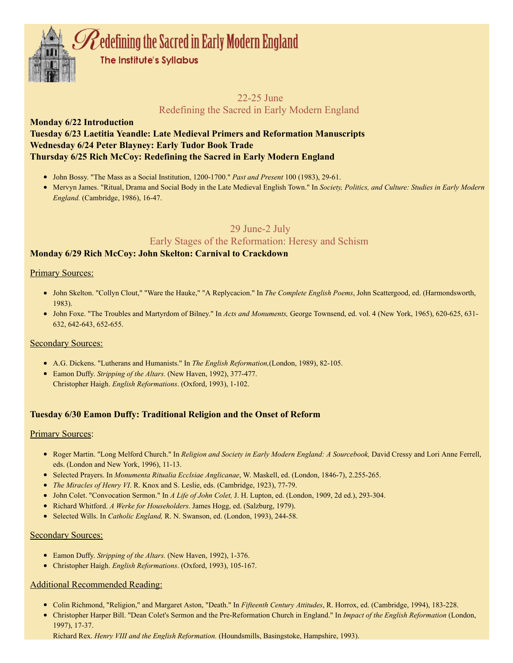

# 22-25 June Redefining the Sacred in Early Modern England

# Monday 6/22 Introduction Tuesday 6/23 Laetitia Yeandle: Late Medieval Primers and Reformation Manuscripts Wednesday 6/24 Peter Blayney: Early Tudor Book Trade Thursday 6/25 Rich McCoy: Redefining the Sacred in Early Modern England

- John Bossy. "The Mass as a Social Institution, 1200-1700." *Past and Present* 100 (1983), 29-61.
- Mervyn James. "Ritual, Drama and Social Body in the Late Medieval English Town." In *Society, Politics, and Culture: Studies in Early Modern England.* (Cambridge, 1986), 16-47.

# 29 June-2 July

# Early Stages of the Reformation: Heresy and Schism

# Monday 6/29 Rich McCoy: John Skelton: Carnival to Crackdown

# Primary Sources:

- John Skelton. "Collyn Clout," "Ware the Hauke," "A Replycacion." In *The Complete English Poems*, John Scattergood, ed. (Harmondsworth, 1983).
- John Foxe. "The Troubles and Martyrdom of Bilney." In *Acts and Monuments,* George Townsend, ed. vol. 4 (New York, 1965), 620-625, 631- 632, 642-643, 652-655.

# **Secondary Sources:**

- A.G. Dickens. "Lutherans and Humanists." In *The English Reformation,*(London, 1989), 82-105.
- Eamon Duffy. *Stripping of the Altars.* (New Haven, 1992), 377-477. Christopher Haigh. *English Reformations*. (Oxford, 1993), 1-102.

# Tuesday 6/30 Eamon Duffy: Traditional Religion and the Onset of Reform

## **Primary Sources:**

- Roger Martin. "Long Melford Church." In *Religion and Society in Early Modern England: A Sourcebook,* David Cressy and Lori Anne Ferrell, eds. (London and New York, 1996), 11-13.
- Selected Prayers. In *Monumenta Ritualia Ecclsiae Anglicanae*, W. Maskell, ed. (London, 1846-7), 2.255-265.
- *The Miracles of Henry VI*. R. Knox and S. Leslie, eds. (Cambridge, 1923), 77-79.
- John Colet. "Convocation Sermon." In *A Life of John Colet,* J. H. Lupton, ed. (London, 1909, 2d ed.), 293-304.
- Richard Whitford. *A Werke for Householders*. James Hogg, ed. (Salzburg, 1979).
- Selected Wills. In *Catholic England,* R. N. Swanson, ed. (London, 1993), 244-58.

## Secondary Sources:

- Eamon Duffy. *Stripping of the Altars.* (New Haven, 1992), 1-376.
- Christopher Haigh. *English Reformations*. (Oxford, 1993), 105-167.

# Additional Recommended Reading:

- Colin Richmond, "Religion," and Margaret Aston, "Death." In *Fifteenth Century Attitudes*, R. Horrox, ed. (Cambridge, 1994), 183-228.
- Christopher Harper Bill. "Dean Colet's Sermon and the Pre-Reformation Church in England." In *Impact of the English Reformation* (London, 1997), 17-37.

Richard Rex. *Henry VIII and the English Reformation.* (Houndsmills, Basingstoke, Hampshire, 1993).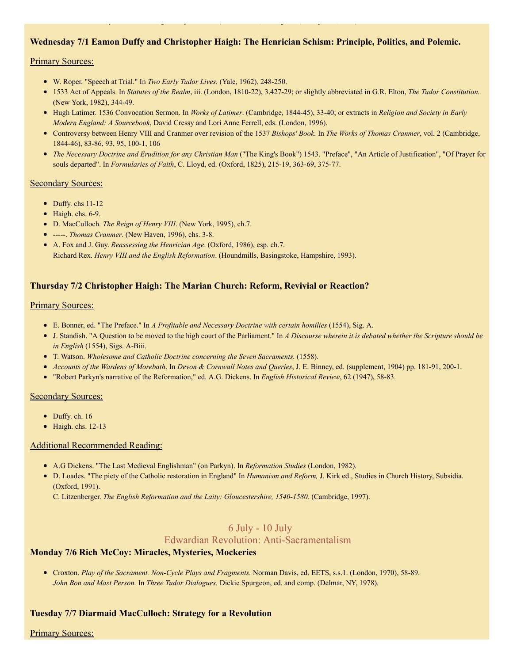# Wednesday 7/1 Eamon Duffy and Christopher Haigh: The Henrician Schism: Principle, Politics, and Polemic.

Richard Rex. *Henry VIII and the English Reformation.* (Houndsmills, Basingstoke, Hampshire, 1993).

#### Primary Sources:

- W. Roper. "Speech at Trial." In *Two Early Tudor Lives.* (Yale, 1962), 248-250.
- 1533 Act of Appeals. In *Statutes of the Realm*, iii. (London, 1810-22), 3.427-29; or slightly abbreviated in G.R. Elton, *The Tudor Constitution.* (New York, 1982), 344-49.
- Hugh Latimer. 1536 Convocation Sermon. In *Works of Latimer*. (Cambridge, 1844-45), 33-40; or extracts in *Religion and Society in Early Modern England: A Sourcebook*, David Cressy and Lori Anne Ferrell, eds. (London, 1996).
- Controversy between Henry VIII and Cranmer over revision of the 1537 *Bishops' Book.* In *The Works of Thomas Cranmer*, vol. 2 (Cambridge, 1844-46), 83-86, 93, 95, 100-1, 106
- *The Necessary Doctrine and Erudition for any Christian Man* ("The King's Book") 1543. "Preface", "An Article of Justification", "Of Prayer for souls departed". In *Formularies of Faith*, C. Lloyd, ed. (Oxford, 1825), 215-19, 363-69, 375-77.

## Secondary Sources:

- Duffy. chs 11-12
- $\bullet$  Haigh. chs. 6-9.
- D. MacCulloch. *The Reign of Henry VIII*. (New York, 1995), ch.7.
- -----. *Thomas Cranmer*. (New Haven, 1996), chs. 3-8.
- A. Fox and J. Guy. *Reassessing the Henrician Age*. (Oxford, 1986), esp. ch.7. Richard Rex. *Henry VIII and the English Reformation*. (Houndmills, Basingstoke, Hampshire, 1993).

# Thursday 7/2 Christopher Haigh: The Marian Church: Reform, Revivial or Reaction?

#### Primary Sources:

- E. Bonner, ed. "The Preface." In *A Profitable and Necessary Doctrine with certain homilies* (1554), Sig. A.
- J. Standish. "A Question to be moved to the high court of the Parliament." In *A Discourse wherein it is debated whether the Scripture should be in English* (1554), Sigs. A-Biii.
- T. Watson. *Wholesome and Catholic Doctrine concerning the Seven Sacraments.* (1558).
- *Accounts of the Wardens of Morebath*. In *Devon & Cornwall Notes and Queries*, J. E. Binney, ed. (supplement, 1904) pp. 181-91, 200-1.
- "Robert Parkyn's narrative of the Reformation," ed. A.G. Dickens. In *English Historical Review*, 62 (1947), 58-83.

#### Secondary Sources:

- Duffy. ch. 16
- $\bullet$  Haigh. chs. 12-13

## Additional Recommended Reading:

- A.G Dickens. "The Last Medieval Englishman" (on Parkyn). In *Reformation Studies* (London, 1982)*.*
- D. Loades. "The piety of the Catholic restoration in England" In *Humanism and Reform,* J. Kirk ed., Studies in Church History, Subsidia. (Oxford, 1991).

C. Litzenberger. *The English Reformation and the Laity: Gloucestershire, 1540-1580*. (Cambridge, 1997).

# 6 July - 10 July

## Edwardian Revolution: Anti-Sacramentalism

## Monday 7/6 Rich McCoy: Miracles, Mysteries, Mockeries

Croxton. *Play of the Sacrament. Non-Cycle Plays and Fragments.* Norman Davis, ed. EETS, s.s.1. (London, 1970), 58-89. *John Bon and Mast Person.* In *Three Tudor Dialogues.* Dickie Spurgeon, ed. and comp. (Delmar, NY, 1978).

## Tuesday 7/7 Diarmaid MacCulloch: Strategy for a Revolution

## Primary Sources: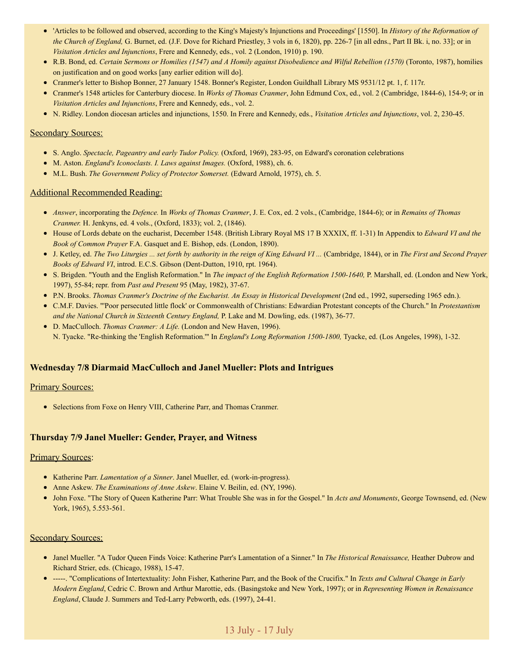- 'Articles to be followed and observed, according to the King's Majesty's Injunctions and Proceedings' [1550]. In *History of the Reformation of the Church of England,* G. Burnet, ed. (J.F. Dove for Richard Priestley, 3 vols in 6, 1820), pp. 226-7 [in all edns., Part II Bk. i, no. 33]; or in *Visitation Articles and Injunctions*, Frere and Kennedy, eds., vol. 2 (London, 1910) p. 190.
- R.B. Bond, ed. Certain Sermons or Homilies (1547) and A Homily against Disobedience and Wilful Rebellion (1570) (Toronto, 1987), homilies on justification and on good works [any earlier edition will do].
- Cranmer's letter to Bishop Bonner, 27 January 1548. Bonner's Register, London Guildhall Library MS 9531/12 pt. 1, f. 117r.
- Cranmer's 1548 articles for Canterbury diocese. In *Works of Thomas Cranmer*, John Edmund Cox, ed., vol. 2 (Cambridge, 1844-6), 154-9; or in *Visitation Articles and Injunctions*, Frere and Kennedy, eds., vol. 2.
- N. Ridley. London diocesan articles and injunctions, 1550. In Frere and Kennedy, eds., *Visitation Articles and Injunctions*, vol. 2, 230-45.

#### Secondary Sources:

- S. Anglo. *Spectacle, Pageantry and early Tudor Policy.* (Oxford, 1969), 283-95, on Edward's coronation celebrations
- M. Aston. *England's Iconoclasts. I. Laws against Images.* (Oxford, 1988), ch. 6.
- M.L. Bush. *The Government Policy of Protector Somerset.* (Edward Arnold, 1975), ch. 5.

#### Additional Recommended Reading:

- *Answer*, incorporating the *Defence.* In *Works of Thomas Cranmer*, J. E. Cox, ed. 2 vols., (Cambridge, 1844-6); or in *Remains of Thomas Cranmer.* H. Jenkyns, ed. 4 vols., (Oxford, 1833); vol. 2, (1846).
- House of Lords debate on the eucharist, December 1548. (British Library Royal MS 17 B XXXIX, ff. 1-31) In Appendix to *Edward VI and the Book of Common Prayer* F.A. Gasquet and E. Bishop, eds. (London, 1890).
- J. Ketley, ed. The Two Liturgies ... set forth by authority in the reign of King Edward VI ... (Cambridge, 1844), or in The First and Second Prayer *Books of Edward VI*, introd. E.C.S. Gibson (Dent-Dutton, 1910, rpt. 1964).
- S. Brigden. "Youth and the English Reformation." In *The impact of the English Reformation 1500-1640,* P. Marshall, ed. (London and New York, 1997), 55-84; repr. from *Past and Present* 95 (May, 1982), 37-67.
- P.N. Brooks. *Thomas Cranmer's Doctrine of the Eucharist. An Essay in Historical Development* (2nd ed., 1992, superseding 1965 edn.).
- C.M.F. Davies. "'Poor persecuted little flock' or Commonwealth of Christians: Edwardian Protestant concepts of the Church." In *Protestantism and the National Church in Sixteenth Century England,* P. Lake and M. Dowling, eds. (1987), 36-77.
- D. MacCulloch. *Thomas Cranmer: A Life.* (London and New Haven, 1996). N. Tyacke. "Re-thinking the 'English Reformation.'" In *England's Long Reformation 1500-1800,* Tyacke, ed. (Los Angeles, 1998), 1-32.

## Wednesday 7/8 Diarmaid MacCulloch and Janel Mueller: Plots and Intrigues

# **Primary Sources:**

• Selections from Foxe on Henry VIII, Catherine Parr, and Thomas Cranmer.

## Thursday 7/9 Janel Mueller: Gender, Prayer, and Witness

#### **Primary Sources:**

- Katherine Parr. *Lamentation of a Sinner*. Janel Mueller, ed. (work-in-progress).
- Anne Askew. *The Examinations of Anne Askew*. Elaine V. Beilin, ed. (NY, 1996).
- John Foxe. "The Story of Queen Katherine Parr: What Trouble She was in for the Gospel." In *Acts and Monuments*, George Townsend, ed. (New York, 1965), 5.553-561.

## Secondary Sources:

- Janel Mueller. "A Tudor Queen Finds Voice: Katherine Parr's Lamentation of a Sinner." In *The Historical Renaissance,* Heather Dubrow and Richard Strier, eds. (Chicago, 1988), 15-47.
- -----. "Complications of Intertextuality: John Fisher, Katherine Parr, and the Book of the Crucifix." In *Texts and Cultural Change in Early Modern England*, Cedric C. Brown and Arthur Marottie, eds. (Basingstoke and New York, 1997); or in *Representing Women in Renaissance England*, Claude J. Summers and Ted-Larry Pebworth, eds. (1997), 24-41.

# 13 July - 17 July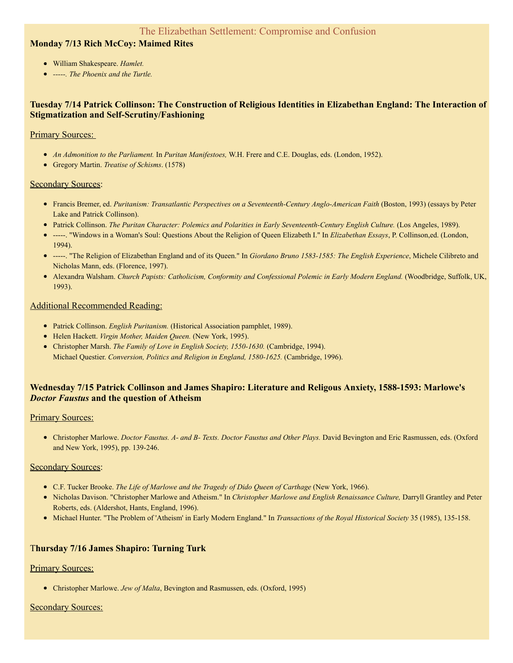# Monday 7/13 Rich McCoy: Maimed Rites

- William Shakespeare. *Hamlet.*
- *-----. The Phoenix and the Turtle.*

# Tuesday 7/14 Patrick Collinson: The Construction of Religious Identities in Elizabethan England: The Interaction of Stigmatization and Self-Scrutiny/Fashioning

## Primary Sources:

- *An Admonition to the Parliament.* In *Puritan Manifestoes,* W.H. Frere and C.E. Douglas, eds. (London, 1952).
- Gregory Martin. *Treatise of Schisms*. (1578)

# **Secondary Sources:**

- Francis Bremer, ed. *Puritanism: Transatlantic Perspectives on a Seventeenth-Century Anglo-American Faith* (Boston, 1993) (essays by Peter Lake and Patrick Collinson).
- Patrick Collinson. *The Puritan Character: Polemics and Polarities in Early Seventeenth-Century English Culture.* (Los Angeles, 1989).
- -----. "Windows in a Woman's Soul: Questions About the Religion of Queen Elizabeth I." In *Elizabethan Essays*, P. Collinson,ed. (London, 1994).
- -----. "The Religion of Elizabethan England and of its Queen." In *Giordano Bruno 1583-1585: The English Experience*, Michele Cilibreto and Nicholas Mann, eds. (Florence, 1997).
- Alexandra Walsham. *Church Papists: Catholicism, Conformity and Confessional Polemic in Early Modern England.* (Woodbridge, Suffolk, UK, 1993).

# Additional Recommended Reading:

- Patrick Collinson. *English Puritanism.* (Historical Association pamphlet, 1989).
- Helen Hackett. *Virgin Mother, Maiden Queen.* (New York, 1995).
- Christopher Marsh. *The Family of Love in English Society, 1550-1630.* (Cambridge, 1994). Michael Questier. *Conversion, Politics and Religion in England, 1580-1625.* (Cambridge, 1996).

# Wednesday 7/15 Patrick Collinson and James Shapiro: Literature and Religous Anxiety, 1588-1593: Marlowe's *Doctor Faustus* and the question of Atheism

## **Primary Sources:**

Christopher Marlowe. *Doctor Faustus. A- and B- Texts. Doctor Faustus and Other Plays.* David Bevington and Eric Rasmussen, eds. (Oxford and New York, 1995), pp. 139-246.

## Secondary Sources:

- C.F. Tucker Brooke. *The Life of Marlowe and the Tragedy of Dido Queen of Carthage* (New York, 1966).
- Nicholas Davison. "Christopher Marlowe and Atheism." In *Christopher Marlowe and English Renaissance Culture,* Darryll Grantley and Peter Roberts, eds. (Aldershot, Hants, England, 1996).
- Michael Hunter. "The Problem of 'Atheism' in Early Modern England." In *Transactions of the Royal Historical Society* 35 (1985), 135-158.

# Thursday 7/16 James Shapiro: Turning Turk

# **Primary Sources:**

Christopher Marlowe. *Jew of Malta*, Bevington and Rasmussen, eds. (Oxford, 1995)

# Secondary Sources: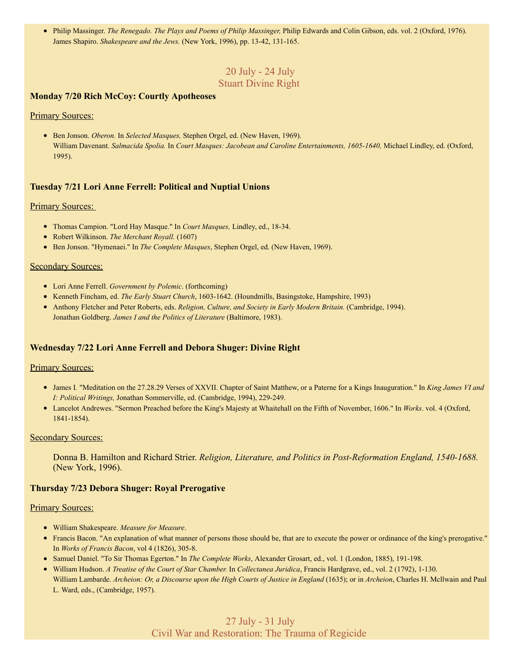Philip Massinger. *The Renegado. The Plays and Poems of Philip Massinger,* Philip Edwards and Colin Gibson, eds. vol. 2 (Oxford, 1976). James Shapiro. *Shakespeare and the Jews.* (New York, 1996), pp. 13-42, 131-165.

# 20 July - 24 July Stuart Divine Right

## Monday 7/20 Rich McCoy: Courtly Apotheoses

## Primary Sources:

Ben Jonson. *Oberon.* In *Selected Masques,* Stephen Orgel, ed. (New Haven, 1969). William Davenant. *Salmacida Spolia.* In *Court Masques: Jacobean and Caroline Entertainments, 1605-1640,* Michael Lindley, ed. (Oxford, 1995).

# Tuesday 7/21 Lori Anne Ferrell: Political and Nuptial Unions

#### **Primary Sources:**

- Thomas Campion. "Lord Hay Masque." In *Court Masques,* Lindley, ed., 18-34.
- Robert Wilkinson. *The Merchant Royall.* (1607)
- Ben Jonson. "Hymenaei." In *The Complete Masques*, Stephen Orgel, ed. (New Haven, 1969).

#### Secondary Sources:

- Lori Anne Ferrell. *Government by Polemic*. (forthcoming)
- Kenneth Fincham, ed. *The Early Stuart Church*, 1603-1642. (Houndmills, Basingstoke, Hampshire, 1993)
- Anthony Fletcher and Peter Roberts, eds. *Religion, Culture, and Society in Early Modern Britain.* (Cambridge, 1994). Jonathan Goldberg. *James I and the Politics of Literature* (Baltimore, 1983).

# Wednesday 7/22 Lori Anne Ferrell and Debora Shuger: Divine Right

## **Primary Sources:**

- James I*.* "Meditation on the 27.28.29 Verses of XXVII. Chapter of Saint Matthew, or a Paterne for a Kings Inauguration." In *King James VI and I: Political Writings,* Jonathan Sommerville, ed. (Cambridge, 1994), 229-249.
- Lancelot Andrewes. "Sermon Preached before the King's Majesty at Whaitehall on the Fifth of November, 1606." In *Works*. vol. 4 (Oxford, 1841-1854).

#### **Secondary Sources:**

Donna B. Hamilton and Richard Strier. *Religion, Literature, and Politics in Post-Reformation England, 1540-1688.* (New York, 1996).

## Thursday 7/23 Debora Shuger: Royal Prerogative

#### Primary Sources:

- William Shakespeare. *Measure for Measure*.
- Francis Bacon. "An explanation of what manner of persons those should be, that are to execute the power or ordinance of the king's prerogative." In *Works of Francis Bacon*, vol 4 (1826), 305-8.
- Samuel Daniel. "To Sir Thomas Egerton." In *The Complete Works*, Alexander Grosart, ed., vol. 1 (London, 1885), 191-198.
- William Hudson. *A Treatise of the Court of Star Chamber.* In *Collectanea Juridica*, Francis Hardgrave, ed., vol. 2 (1792), 1-130. William Lambarde. Archeion: Or, a Discourse upon the High Courts of Justice in England (1635); or in Archeion, Charles H. McIlwain and Paul L. Ward, eds., (Cambridge, 1957).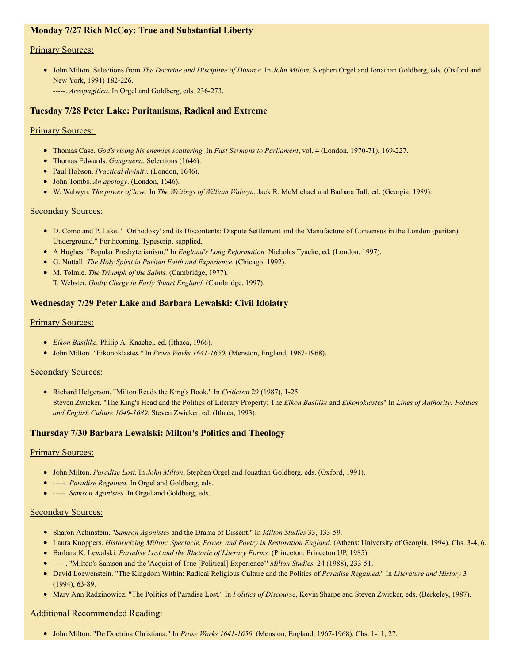# Monday 7/27 Rich McCoy: True and Substantial Liberty

## **Primary Sources:**

- John Milton. Selections from *The Doctrine and Discipline of Divorce.* In *John Milton,* Stephen Orgel and Jonathan Goldberg, eds. (Oxford and New York, 1991) 182-226.
	- -----. *Areopagitica.* In Orgel and Goldberg, eds. 236-273.

# Tuesday 7/28 Peter Lake: Puritanisms, Radical and Extreme

## **Primary Sources:**

- Thomas Case. *God's rising his enemies scattering.* In *Fast Sermons to Parliament*, vol. 4 (London, 1970-71), 169-227.
- Thomas Edwards. *Gangraena.* Selections (1646).
- Paul Hobson. *Practical divinity.* (London, 1646).
- John Tombs. *An apology*. (London, 1646).
- W. Walwyn. *The power of love.* In *The Writings of William Walwyn*, Jack R. McMichael and Barbara Taft, ed. (Georgia, 1989).

## Secondary Sources:

- D. Como and P. Lake. " 'Orthodoxy' and its Discontents: Dispute Settlement and the Manufacture of Consensus in the London (puritan) Underground." Forthcoming. Typescript supplied.
- A Hughes. "Popular Presbyterianism." In *England's Long Reformation,* Nicholas Tyacke, ed. (London, 1997).
- G. Nuttall. *The Holy Spirit in Puritan Faith and Experience*. (Chicago, 1992).
- M. Tolmie. *The Triumph of the Saints.* (Cambridge, 1977). T. Webster. *Godly Clergy in Early Stuart England.* (Cambridge, 1997).

# Wednesday 7/29 Peter Lake and Barbara Lewalski: Civil Idolatry

#### **Primary Sources:**

- *Eikon Basilike.* Philip A. Knachel, ed. (Ithaca, 1966).
- John Milton*. "*Eikonoklaste*s."* In *Prose Works 1641-1650.* (Menston, England, 1967-1968).

## Secondary Sources:

Richard Helgerson. "Milton Reads the King's Book." In *Criticism* 29 (1987), 1-25. Steven Zwicker. "The King's Head and the Politics of Literary Property: The *Eikon Basilike* and *Eikonoklastes*" In *Lines of Authority: Politics and English Culture 1649-1689*, Steven Zwicker, ed. (Ithaca, 1993).

## Thursday 7/30 Barbara Lewalski: Milton's Politics and Theology

## **Primary Sources:**

- John Milton. *Paradise Lost.* In *John Milton*, Stephen Orgel and Jonathan Goldberg, eds. (Oxford, 1991).
- *-----. Paradise Regained.* In Orgel and Goldberg, eds.
- *-----. Samson Agonistes.* In Orgel and Goldberg, eds.

## Secondary Sources:

- Sharon Achinstein. "*Samson Agonistes* and the Drama of Dissent." In *Milton Studies* 33, 133-59.
- Laura Knoppers. *Historicizing Milton: Spectacle, Power, and Poetry in Restoration England.* (Athens: University of Georgia, 1994). Chs. 3-4, 6.
- Barbara K. Lewalski. *Paradise Lost and the Rhetoric of Literary Forms.* (Princeton: Princeton UP, 1985).
- -----. "Milton's Samson and the 'Acquist of True [Political] Experience'" *Milton Studies.* 24 (1988), 233-51.
- David Loewenstein. "The Kingdom Within: Radical Religious Culture and the Politics of *Paradise Regained*." In *Literature and History* 3 (1994), 63-89.
- Mary Ann Radzinowicz. "The Politics of Paradise Lost." In *Politics of Discourse*, Kevin Sharpe and Steven Zwicker, eds. (Berkeley, 1987).

## Additional Recommended Reading:

John Milton. "De Doctrina Christiana." In *Prose Works 1641-1650.* (Menston, England, 1967-1968). Chs. 1-11, 27.